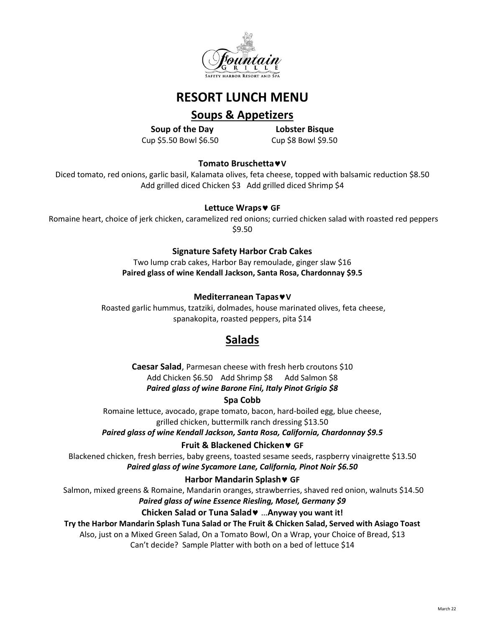

# **RESORT LUNCH MENU**

# **Soups & Appetizers**

**Soup of the Day Lobster Bisque** Cup \$5.50 Bowl \$6.50 Cup \$8 Bowl \$9.50

**Tomato BruschettaV**

Diced tomato, red onions, garlic basil, Kalamata olives, feta cheese, topped with balsamic reduction \$8.50 Add grilled diced Chicken \$3 Add grilled diced Shrimp \$4

## **Lettuce Wraps GF**

Romaine heart, choice of jerk chicken, caramelized red onions; curried chicken salad with roasted red peppers \$9.50

## **Signature Safety Harbor Crab Cakes**

Two lump crab cakes, Harbor Bay remoulade, ginger slaw \$16 **Paired glass of wine Kendall Jackson, Santa Rosa, Chardonnay \$9.5**

## **Mediterranean TapasV**

Roasted garlic hummus, tzatziki, dolmades, house marinated olives, feta cheese, spanakopita, roasted peppers, pita \$14

# **Salads**

**Caesar Salad**, Parmesan cheese with fresh herb croutons \$10 Add Chicken \$6.50 Add Shrimp \$8 Add Salmon \$8 *Paired glass of wine Barone Fini, Italy Pinot Grigio \$8*

## **Spa Cobb**

Romaine lettuce, avocado, grape tomato, bacon, hard-boiled egg, blue cheese, grilled chicken, buttermilk ranch dressing \$13.50

*Paired glass of wine Kendall Jackson, Santa Rosa, California, Chardonnay \$9.5*

**Fruit & Blackened Chicken GF**

Blackened chicken, fresh berries, baby greens, toasted sesame seeds, raspberry vinaigrette \$13.50 *Paired glass of wine Sycamore Lane, California, Pinot Noir \$6.50*

## **Harbor Mandarin Splash • GF**

Salmon, mixed greens & Romaine, Mandarin oranges, strawberries, shaved red onion, walnuts \$14.50

## *Paired glass of wine Essence Riesling, Mosel, Germany \$9*

## **Chicken Salad or Tuna Salad** …**Anyway you want it!**

**Try the Harbor Mandarin Splash Tuna Salad or The Fruit & Chicken Salad, Served with Asiago Toast** Also, just on a Mixed Green Salad, On a Tomato Bowl, On a Wrap, your Choice of Bread, \$13

Can't decide? Sample Platter with both on a bed of lettuce \$14